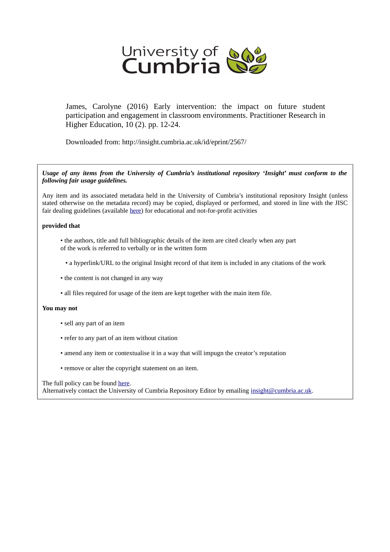

James, Carolyne (2016) Early intervention: the impact on future student participation and engagement in classroom environments. Practitioner Research in Higher Education, 10 (2). pp. 12-24.

Downloaded from: http://insight.cumbria.ac.uk/id/eprint/2567/

*Usage of any items from the University of Cumbria's institutional repository 'Insight' must conform to the following fair usage guidelines.*

Any item and its associated metadata held in the University of Cumbria's institutional repository Insight (unless stated otherwise on the metadata record) may be copied, displayed or performed, and stored in line with the JISC fair dealing guidelines (available [here\)](http://www.ukoln.ac.uk/services/elib/papers/pa/fair/) for educational and not-for-profit activities

#### **provided that**

- the authors, title and full bibliographic details of the item are cited clearly when any part of the work is referred to verbally or in the written form
	- a hyperlink/URL to the original Insight record of that item is included in any citations of the work
- the content is not changed in any way
- all files required for usage of the item are kept together with the main item file.

#### **You may not**

- sell any part of an item
- refer to any part of an item without citation
- amend any item or contextualise it in a way that will impugn the creator's reputation
- remove or alter the copyright statement on an item.

#### The full policy can be found [here.](http://insight.cumbria.ac.uk/legal.html#section5)

Alternatively contact the University of Cumbria Repository Editor by emailing [insight@cumbria.ac.uk.](mailto:insight@cumbria.ac.uk)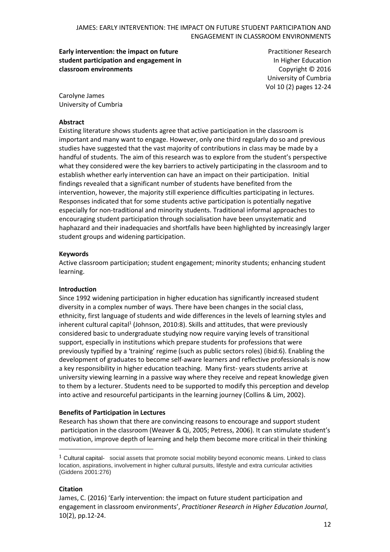**Early intervention: the impact on future student participation and engagement in classroom environments**

Practitioner Research In Higher Education Copyright © 2016 University of Cumbria Vol 10 (2) pages 12-24

Carolyne James University of Cumbria

### **Abstract**

Existing literature shows students agree that active participation in the classroom is important and many want to engage. However, only one third regularly do so and previous studies have suggested that the vast majority of contributions in class may be made by a handful of students. The aim of this research was to explore from the student's perspective what they considered were the key barriers to actively participating in the classroom and to establish whether early intervention can have an impact on their participation. Initial findings revealed that a significant number of students have benefited from the intervention, however, the majority still experience difficulties participating in lectures. Responses indicated that for some students active participation is potentially negative especially for non-traditional and minority students. Traditional informal approaches to encouraging student participation through socialisation have been unsystematic and haphazard and their inadequacies and shortfalls have been highlighted by increasingly larger student groups and widening participation.

#### **Keywords**

Active classroom participation; student engagement; minority students; enhancing student learning.

#### **Introduction**

Since 1992 widening participation in higher education has significantly increased student diversity in a complex number of ways. There have been changes in the social class, ethnicity, first language of students and wide differences in the levels of learning styles and inherent cultural capital<sup>1</sup> (Johnson, 2010:8). Skills and attitudes, that were previously considered basic to undergraduate studying now require varying levels of transitional support, especially in institutions which prepare students for professions that were previously typified by a 'training' regime (such as public sectors roles) (ibid:6). Enabling the development of graduates to become self-aware learners and reflective professionals is now a key responsibility in higher education teaching. Many first- years students arrive at university viewing learning in a passive way where they receive and repeat knowledge given to them by a lecturer. Students need to be supported to modify this perception and develop into active and resourceful participants in the learning journey (Collins & Lim, 2002).

#### **Benefits of Participation in Lectures**

Research has shown that there are convincing reasons to encourage and support student participation in the classroom (Weaver & Qi, 2005; Petress, 2006). It can stimulate student's motivation, improve depth of learning and help them become more critical in their thinking

#### **Citation**

 $\overline{a}$ 

 $1$  Cultural capital- social assets that promote social mobility beyond economic means. Linked to class location, aspirations, involvement in higher cultural pursuits, lifestyle and extra curricular activities (Giddens 2001:276)

James, C. (2016) 'Early intervention: the impact on future student participation and engagement in classroom environments', *Practitioner Research in Higher Education Journal*, 10(2), pp.12-24.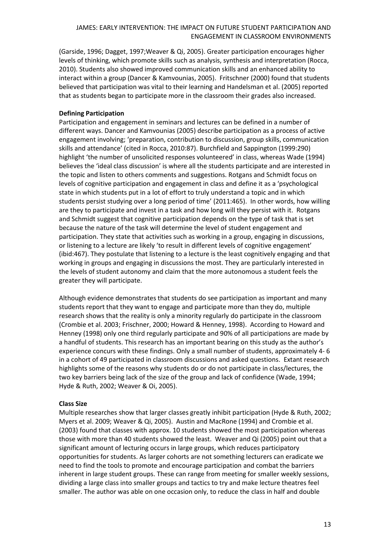(Garside, 1996; Dagget, 1997;Weaver & Qi, 2005). Greater participation encourages higher levels of thinking, which promote skills such as analysis, synthesis and interpretation (Rocca, 2010). Students also showed improved communication skills and an enhanced ability to interact within a group (Dancer & Kamvounias, 2005). Fritschner (2000) found that students believed that participation was vital to their learning and Handelsman et al. (2005) reported that as students began to participate more in the classroom their grades also increased.

## **Defining Participation**

Participation and engagement in seminars and lectures can be defined in a number of different ways. Dancer and Kamvounias (2005) describe participation as a process of active engagement involving; 'preparation, contribution to discussion, group skills, communication skills and attendance' (cited in Rocca, 2010:87). Burchfield and Sappington (1999:290) highlight 'the number of unsolicited responses volunteered' in class, whereas Wade (1994) believes the 'ideal class discussion' is where all the students participate and are interested in the topic and listen to others comments and suggestions. Rotgans and Schmidt focus on levels of cognitive participation and engagement in class and define it as a 'psychological state in which students put in a lot of effort to truly understand a topic and in which students persist studying over a long period of time' (2011:465). In other words, how willing are they to participate and invest in a task and how long will they persist with it. Rotgans and Schmidt suggest that cognitive participation depends on the type of task that is set because the nature of the task will determine the level of student engagement and participation. They state that activities such as working in a group, engaging in discussions, or listening to a lecture are likely 'to result in different levels of cognitive engagement' (ibid:467). They postulate that listening to a lecture is the least cognitively engaging and that working in groups and engaging in discussions the most. They are particularly interested in the levels of student autonomy and claim that the more autonomous a student feels the greater they will participate.

Although evidence demonstrates that students do see participation as important and many students report that they want to engage and participate more than they do, multiple research shows that the reality is only a minority regularly do participate in the classroom (Crombie et al. 2003; Frischner, 2000; Howard & Henney, 1998). According to Howard and Henney (1998) only one third regularly participate and 90% of all participations are made by a handful of students. This research has an important bearing on this study as the author's experience concurs with these findings. Only a small number of students, approximately 4- 6 in a cohort of 49 participated in classroom discussions and asked questions. Extant research highlights some of the reasons why students do or do not participate in class/lectures, the two key barriers being lack of the size of the group and lack of confidence (Wade, 1994; Hyde & Ruth, 2002; Weaver & Oi, 2005).

#### **Class Size**

Multiple researches show that larger classes greatly inhibit participation (Hyde & Ruth, 2002; Myers et al. 2009; Weaver & Qi, 2005). Austin and MacRone (1994) and Crombie et al. (2003) found that classes with approx. 10 students showed the most participation whereas those with more than 40 students showed the least. Weaver and Qi (2005) point out that a significant amount of lecturing occurs in large groups, which reduces participatory opportunities for students. As larger cohorts are not something lecturers can eradicate we need to find the tools to promote and encourage participation and combat the barriers inherent in large student groups. These can range from meeting for smaller weekly sessions, dividing a large class into smaller groups and tactics to try and make lecture theatres feel smaller. The author was able on one occasion only, to reduce the class in half and double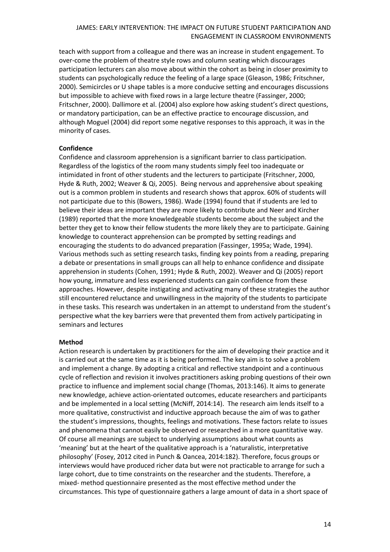teach with support from a colleague and there was an increase in student engagement. To over-come the problem of theatre style rows and column seating which discourages participation lecturers can also move about within the cohort as being in closer proximity to students can psychologically reduce the feeling of a large space (Gleason, 1986; Fritschner, 2000). Semicircles or U shape tables is a more conducive setting and encourages discussions but impossible to achieve with fixed rows in a large lecture theatre (Fassinger, 2000; Fritschner, 2000). Dallimore et al. (2004) also explore how asking student's direct questions, or mandatory participation, can be an effective practice to encourage discussion, and although Moguel (2004) did report some negative responses to this approach, it was in the minority of cases.

### **Confidence**

Confidence and classroom apprehension is a significant barrier to class participation. Regardless of the logistics of the room many students simply feel too inadequate or intimidated in front of other students and the lecturers to participate (Fritschner, 2000, Hyde & Ruth, 2002; Weaver & Qi, 2005). Being nervous and apprehensive about speaking out is a common problem in students and research shows that approx. 60% of students will not participate due to this (Bowers, 1986). Wade (1994) found that if students are led to believe their ideas are important they are more likely to contribute and Neer and Kircher (1989) reported that the more knowledgeable students become about the subject and the better they get to know their fellow students the more likely they are to participate. Gaining knowledge to counteract apprehension can be prompted by setting readings and encouraging the students to do advanced preparation (Fassinger, 1995a; Wade, 1994). Various methods such as setting research tasks, finding key points from a reading, preparing a debate or presentations in small groups can all help to enhance confidence and dissipate apprehension in students (Cohen, 1991; Hyde & Ruth, 2002). Weaver and Qi (2005) report how young, immature and less experienced students can gain confidence from these approaches. However, despite instigating and activating many of these strategies the author still encountered reluctance and unwillingness in the majority of the students to participate in these tasks. This research was undertaken in an attempt to understand from the student's perspective what the key barriers were that prevented them from actively participating in seminars and lectures

#### **Method**

Action research is undertaken by practitioners for the aim of developing their practice and it is carried out at the same time as it is being performed. The key aim is to solve a problem and implement a change. By adopting a critical and reflective standpoint and a continuous cycle of reflection and revision it involves practitioners asking probing questions of their own practice to influence and implement social change (Thomas, 2013:146). It aims to generate new knowledge, achieve action-orientated outcomes, educate researchers and participants and be implemented in a local setting (McNiff, 2014:14). The research aim lends itself to a more qualitative, constructivist and inductive approach because the aim of was to gather the student's impressions, thoughts, feelings and motivations. These factors relate to issues and phenomena that cannot easily be observed or researched in a more quantitative way. Of course all meanings are subject to underlying assumptions about what counts as 'meaning' but at the heart of the qualitative approach is a 'naturalistic, interpretative philosophy' (Fosey, 2012 cited in Punch & Oancea, 2014:182). Therefore, focus groups or interviews would have produced richer data but were not practicable to arrange for such a large cohort, due to time constraints on the researcher and the students. Therefore, a mixed- method questionnaire presented as the most effective method under the circumstances. This type of questionnaire gathers a large amount of data in a short space of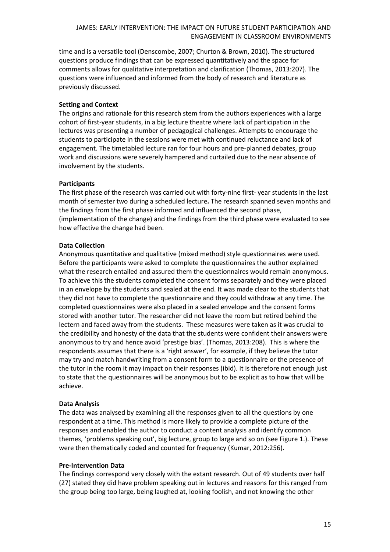time and is a versatile tool (Denscombe, 2007; Churton & Brown, 2010). The structured questions produce findings that can be expressed quantitatively and the space for comments allows for qualitative interpretation and clarification (Thomas, 2013:207). The questions were influenced and informed from the body of research and literature as previously discussed.

## **Setting and Context**

The origins and rationale for this research stem from the authors experiences with a large cohort of first-year students, in a big lecture theatre where lack of participation in the lectures was presenting a number of pedagogical challenges. Attempts to encourage the students to participate in the sessions were met with continued reluctance and lack of engagement. The timetabled lecture ran for four hours and pre-planned debates, group work and discussions were severely hampered and curtailed due to the near absence of involvement by the students.

### **Participants**

The first phase of the research was carried out with forty-nine first- year students in the last month of semester two during a scheduled lecture**.** The research spanned seven months and the findings from the first phase informed and influenced the second phase, (implementation of the change) and the findings from the third phase were evaluated to see how effective the change had been.

### **Data Collection**

Anonymous quantitative and qualitative (mixed method) style questionnaires were used. Before the participants were asked to complete the questionnaires the author explained what the research entailed and assured them the questionnaires would remain anonymous. To achieve this the students completed the consent forms separately and they were placed in an envelope by the students and sealed at the end. It was made clear to the students that they did not have to complete the questionnaire and they could withdraw at any time. The completed questionnaires were also placed in a sealed envelope and the consent forms stored with another tutor. The researcher did not leave the room but retired behind the lectern and faced away from the students. These measures were taken as it was crucial to the credibility and honesty of the data that the students were confident their answers were anonymous to try and hence avoid 'prestige bias'. (Thomas, 2013:208). This is where the respondents assumes that there is a 'right answer', for example, if they believe the tutor may try and match handwriting from a consent form to a questionnaire or the presence of the tutor in the room it may impact on their responses (ibid). It is therefore not enough just to state that the questionnaires will be anonymous but to be explicit as to how that will be achieve.

#### **Data Analysis**

The data was analysed by examining all the responses given to all the questions by one respondent at a time. This method is more likely to provide a complete picture of the responses and enabled the author to conduct a content analysis and identify common themes, 'problems speaking out', big lecture, group to large and so on (see Figure 1.). These were then thematically coded and counted for frequency (Kumar, 2012:256).

#### **Pre-Intervention Data**

The findings correspond very closely with the extant research. Out of 49 students over half (27) stated they did have problem speaking out in lectures and reasons for this ranged from the group being too large, being laughed at, looking foolish, and not knowing the other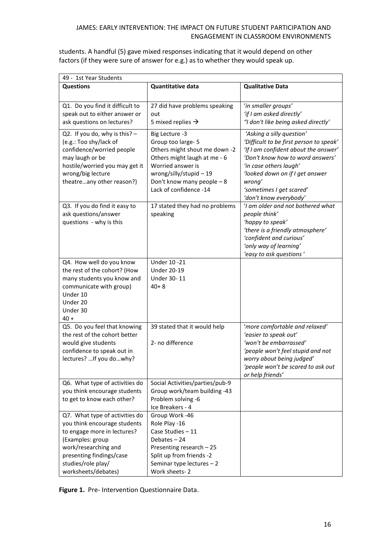students. A handful (5) gave mixed responses indicating that it would depend on other factors (if they were sure of answer for e.g.) as to whether they would speak up.

| 49 - 1st Year Students                                                                                                                                                                                             |                                                                                                                                                                                                             |                                                                                                                                                                                                                                                                               |  |  |  |
|--------------------------------------------------------------------------------------------------------------------------------------------------------------------------------------------------------------------|-------------------------------------------------------------------------------------------------------------------------------------------------------------------------------------------------------------|-------------------------------------------------------------------------------------------------------------------------------------------------------------------------------------------------------------------------------------------------------------------------------|--|--|--|
| <b>Questions</b>                                                                                                                                                                                                   | <b>Quantitative data</b>                                                                                                                                                                                    | <b>Qualitative Data</b>                                                                                                                                                                                                                                                       |  |  |  |
|                                                                                                                                                                                                                    |                                                                                                                                                                                                             |                                                                                                                                                                                                                                                                               |  |  |  |
| Q1. Do you find it difficult to<br>speak out to either answer or<br>ask questions on lectures?                                                                                                                     | 27 did have problems speaking<br>out<br>5 mixed replies $\rightarrow$                                                                                                                                       | 'in smaller groups'<br>'if I am asked directly'<br>"I don't like being asked directly'                                                                                                                                                                                        |  |  |  |
| Q2. If you do, why is this? $-$<br>(e.g.: Too shy/lack of<br>confidence/worried people<br>may laugh or be<br>hostile/worried you may get it<br>wrong/big lecture<br>theatreany other reason?)                      | Big Lecture -3<br>Group too large- 5<br>Others might shout me down -2<br>Others might laugh at me - 6<br>Worried answer is<br>wrong/silly/stupid-19<br>Don't know many people - 8<br>Lack of confidence -14 | 'Asking a silly question'<br>'Difficult to be first person to speak'<br>'If I am confident about the answer'<br>'Don't know how to word answers'<br>'in case others laugh'<br>'looked down on if I get answer<br>wrong'<br>'sometimes I get scared'<br>'don't know everybody' |  |  |  |
| Q3. If you do find it easy to<br>ask questions/answer<br>questions - why is this                                                                                                                                   | 17 stated they had no problems<br>speaking                                                                                                                                                                  | 'I am older and not bothered what<br>people think'<br>'happy to speak'<br>'there is a friendly atmosphere'<br>'confident and curious'<br>'only way of learning'<br>'easy to ask questions'                                                                                    |  |  |  |
| Q4. How well do you know<br>the rest of the cohort? (How<br>many students you know and<br>communicate with group)<br>Under 10<br>Under 20<br>Under 30<br>$40 +$                                                    | Under 10 - 21<br><b>Under 20-19</b><br>Under 30-11<br>$40 + 8$                                                                                                                                              |                                                                                                                                                                                                                                                                               |  |  |  |
| Q5. Do you feel that knowing<br>the rest of the cohort better<br>would give students<br>confidence to speak out in<br>lectures?  If you do  why?                                                                   | 39 stated that it would help<br>2- no difference                                                                                                                                                            | 'more comfortable and relaxed'<br>'easier to speak out'<br>'won't be embarrassed'<br>'people won't feel stupid and not<br>worry about being judged'<br>'people won't be scared to ask out<br>or help friends'                                                                 |  |  |  |
| Q6. What type of activities do<br>you think encourage students<br>to get to know each other?                                                                                                                       | Social Activities/parties/pub-9<br>Group work/team building -43<br>Problem solving -6<br>Ice Breakers - 4                                                                                                   |                                                                                                                                                                                                                                                                               |  |  |  |
| Q7. What type of activities do<br>you think encourage students<br>to engage more in lectures?<br>(Examples: group<br>work/researching and<br>presenting findings/case<br>studies/role play/<br>worksheets/debates) | Group Work -46<br>Role Play -16<br>Case Studies - 11<br>Debates-24<br>Presenting research - 25<br>Split up from friends -2<br>Seminar type lectures $-2$<br>Work sheets-2                                   |                                                                                                                                                                                                                                                                               |  |  |  |

**Figure 1.** Pre- Intervention Questionnaire Data.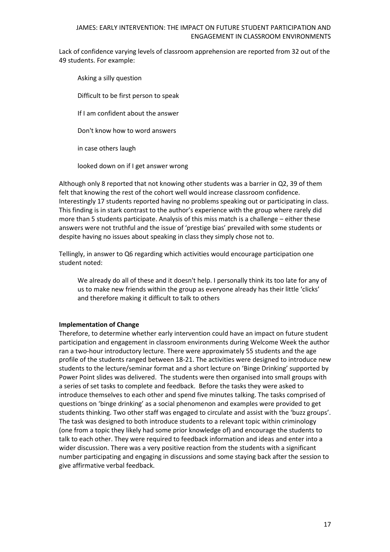Lack of confidence varying levels of classroom apprehension are reported from 32 out of the 49 students. For example:

Asking a silly question Difficult to be first person to speak If I am confident about the answer Don't know how to word answers in case others laugh looked down on if I get answer wrong

Although only 8 reported that not knowing other students was a barrier in Q2, 39 of them felt that knowing the rest of the cohort well would increase classroom confidence. Interestingly 17 students reported having no problems speaking out or participating in class. This finding is in stark contrast to the author's experience with the group where rarely did more than 5 students participate. Analysis of this miss match is a challenge – either these answers were not truthful and the issue of 'prestige bias' prevailed with some students or despite having no issues about speaking in class they simply chose not to.

Tellingly, in answer to Q6 regarding which activities would encourage participation one student noted:

We already do all of these and it doesn't help. I personally think its too late for any of us to make new friends within the group as everyone already has their little 'clicks' and therefore making it difficult to talk to others

## **Implementation of Change**

Therefore, to determine whether early intervention could have an impact on future student participation and engagement in classroom environments during Welcome Week the author ran a two-hour introductory lecture. There were approximately 55 students and the age profile of the students ranged between 18-21. The activities were designed to introduce new students to the lecture/seminar format and a short lecture on 'Binge Drinking' supported by Power Point slides was delivered. The students were then organised into small groups with a series of set tasks to complete and feedback. Before the tasks they were asked to introduce themselves to each other and spend five minutes talking. The tasks comprised of questions on 'binge drinking' as a social phenomenon and examples were provided to get students thinking. Two other staff was engaged to circulate and assist with the 'buzz groups'. The task was designed to both introduce students to a relevant topic within criminology (one from a topic they likely had some prior knowledge of) and encourage the students to talk to each other. They were required to feedback information and ideas and enter into a wider discussion. There was a very positive reaction from the students with a significant number participating and engaging in discussions and some staying back after the session to give affirmative verbal feedback.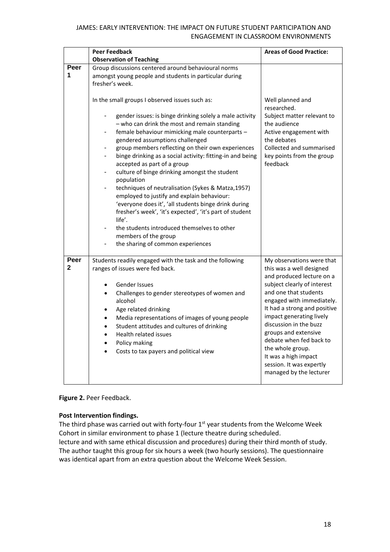|                      | <b>Peer Feedback</b>                                                                                                                                                                                                                                                                                                                                                                                                                                                                                                                                                                                                                                                                                                                                                                                                                                                                                         | <b>Areas of Good Practice:</b>                                                                                                                                                                                                                                                                                                                                                                                      |
|----------------------|--------------------------------------------------------------------------------------------------------------------------------------------------------------------------------------------------------------------------------------------------------------------------------------------------------------------------------------------------------------------------------------------------------------------------------------------------------------------------------------------------------------------------------------------------------------------------------------------------------------------------------------------------------------------------------------------------------------------------------------------------------------------------------------------------------------------------------------------------------------------------------------------------------------|---------------------------------------------------------------------------------------------------------------------------------------------------------------------------------------------------------------------------------------------------------------------------------------------------------------------------------------------------------------------------------------------------------------------|
|                      | <b>Observation of Teaching</b>                                                                                                                                                                                                                                                                                                                                                                                                                                                                                                                                                                                                                                                                                                                                                                                                                                                                               |                                                                                                                                                                                                                                                                                                                                                                                                                     |
| Peer<br>1            | Group discussions centered around behavioural norms<br>amongst young people and students in particular during<br>fresher's week.                                                                                                                                                                                                                                                                                                                                                                                                                                                                                                                                                                                                                                                                                                                                                                             |                                                                                                                                                                                                                                                                                                                                                                                                                     |
|                      | In the small groups I observed issues such as:<br>gender issues: is binge drinking solely a male activity<br>$\overline{\phantom{m}}$<br>- who can drink the most and remain standing<br>female behaviour mimicking male counterparts -<br>$\blacksquare$<br>gendered assumptions challenged<br>group members reflecting on their own experiences<br>$\blacksquare$<br>binge drinking as a social activity: fitting-in and being<br>٠<br>accepted as part of a group<br>culture of binge drinking amongst the student<br>population<br>techniques of neutralisation (Sykes & Matza, 1957)<br>$\overline{\phantom{a}}$<br>employed to justify and explain behaviour:<br>'everyone does it', 'all students binge drink during<br>fresher's week', 'it's expected', 'it's part of student<br>life'.<br>the students introduced themselves to other<br>members of the group<br>the sharing of common experiences | Well planned and<br>researched.<br>Subject matter relevant to<br>the audience<br>Active engagement with<br>the debates<br>Collected and summarised<br>key points from the group<br>feedback                                                                                                                                                                                                                         |
| Peer<br>$\mathbf{2}$ | Students readily engaged with the task and the following<br>ranges of issues were fed back.<br>Gender Issues<br>Challenges to gender stereotypes of women and<br>$\bullet$<br>alcohol<br>Age related drinking<br>$\bullet$<br>Media representations of images of young people<br>$\bullet$<br>Student attitudes and cultures of drinking<br>$\bullet$<br>Health related issues<br>$\bullet$<br>Policy making<br>$\bullet$<br>Costs to tax payers and political view                                                                                                                                                                                                                                                                                                                                                                                                                                          | My observations were that<br>this was a well designed<br>and produced lecture on a<br>subject clearly of interest<br>and one that students<br>engaged with immediately.<br>It had a strong and positive<br>impact generating lively<br>discussion in the buzz<br>groups and extensive<br>debate when fed back to<br>the whole group.<br>It was a high impact<br>session. It was expertly<br>managed by the lecturer |

## **Figure 2.** Peer Feedback.

## **Post Intervention findings.**

The third phase was carried out with forty-four  $1<sup>st</sup>$  year students from the Welcome Week Cohort in similar environment to phase 1 (lecture theatre during scheduled. lecture and with same ethical discussion and procedures) during their third month of study. The author taught this group for six hours a week (two hourly sessions). The questionnaire was identical apart from an extra question about the Welcome Week Session.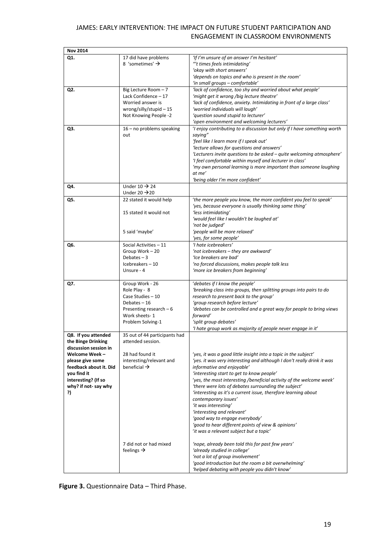| <b>Nov 2014</b>                                                                                                                |                                                                                                                                       |                                                                                                                                                                                                                                                                                                                                                                                                                                                                                                                                                                                                                                         |
|--------------------------------------------------------------------------------------------------------------------------------|---------------------------------------------------------------------------------------------------------------------------------------|-----------------------------------------------------------------------------------------------------------------------------------------------------------------------------------------------------------------------------------------------------------------------------------------------------------------------------------------------------------------------------------------------------------------------------------------------------------------------------------------------------------------------------------------------------------------------------------------------------------------------------------------|
| Q1.                                                                                                                            | 17 did have problems<br>8 'sometimes' $\rightarrow$                                                                                   | 'If I'm unsure of an answer I'm hesitant'<br>"'t times feels intimidating'<br>'okay with short answers'<br>'depends on topics and who is present in the room'<br>'in small groups - comfortable'                                                                                                                                                                                                                                                                                                                                                                                                                                        |
| Q2.                                                                                                                            | Big Lecture Room - 7<br>Lack Confidence - 17<br>Worried answer is<br>wrong/silly/stupid - 15<br>Not Knowing People -2                 | 'lack of confidence, too shy and worried about what people'<br>'might get it wrong /big lecture theatre'<br>'lack of confidence, anxiety. Intimidating in front of a large class'<br>'worried individuals will laugh'<br>'question sound stupid to lecturer'<br>'open environment and welcoming lecturers'                                                                                                                                                                                                                                                                                                                              |
| Q3.                                                                                                                            | 16 - no problems speaking<br>out                                                                                                      | 'I enjoy contributing to a discussion but only if I have something worth<br>saying"<br>'feel like I learn more if I speak out'<br>'lecture allows for questions and answers'<br>'Lecturers invite questions to be asked - quite welcoming atmosphere'<br>'I feel comfortable within myself and lecturer in class'<br>'my own personal learning is more important than someone laughing<br>at me'<br>'being older I'm more confident'                                                                                                                                                                                                    |
| Q4.                                                                                                                            | Under $10 \rightarrow 24$<br>Under 20 $\rightarrow$ 20                                                                                |                                                                                                                                                                                                                                                                                                                                                                                                                                                                                                                                                                                                                                         |
| Q5.                                                                                                                            | 22 stated it would help<br>15 stated it would not<br>5 said 'maybe'                                                                   | 'the more people you know, the more confident you feel to speak'<br>'yes, because everyone is usually thinking same thing'<br>'less intimidating'<br>'would feel like I wouldn't be laughed at'<br>'not be judged'<br>'people will be more relaxed'                                                                                                                                                                                                                                                                                                                                                                                     |
| Q6.                                                                                                                            | Social Activities - 11<br>Group Work - 20<br>Debates $-3$<br>Icebreakers-10<br>Unsure - 4                                             | 'yes, for some people'<br>'I hate icebreakers'<br>'not icebreakers - they are awkward'<br>'Ice breakers are bad'<br>'no forced discussions, makes people talk less<br>'more ice breakers from beginning'                                                                                                                                                                                                                                                                                                                                                                                                                                |
| Q7.                                                                                                                            | Group Work - 26<br>Role Play - 8<br>Case Studies - 10<br>Debates-16<br>Presenting research $-6$<br>Work sheets-1<br>Problem Solving-1 | 'debates if I know the people'<br>'breaking class into groups, then splitting groups into pairs to do<br>research to present back to the group'<br>'group research before lecture'<br>'debates can be controlled and a great way for people to bring views<br>forward'<br>'split group debates'<br>'I hate group work as majority of people never engage in it'                                                                                                                                                                                                                                                                         |
| Q8. If you attended<br>the Binge Drinking<br>discussion session in                                                             | 35 out of 44 participants had<br>attended session.                                                                                    |                                                                                                                                                                                                                                                                                                                                                                                                                                                                                                                                                                                                                                         |
| Welcome Week-<br>please give some<br>feedback about it. Did<br>you find it<br>interesting? (If so<br>why? if not-say why<br>?) | 28 had found it<br>interesting/relevant and<br>beneficial $\rightarrow$                                                               | 'yes, it was a good little insight into a topic in the subject'<br>'yes. it was very interesting and although I don't really drink it was<br>informative and enjoyable'<br>'interesting start to get to know people'<br>'yes, the most interesting /beneficial activity of the welcome week'<br>'there were lots of debates surrounding the subject'<br>'interesting as it's a current issue, therefore learning about<br>contemporary issues'<br>'it was interesting'<br>'interesting and relevant'<br>'good way to engage everybody'<br>'good to hear different points of view & opinions'<br>'it was a relevant subject but a topic' |
|                                                                                                                                | 7 did not or had mixed<br>feelings $\rightarrow$                                                                                      | 'nope, already been told this for past few years'<br>'already studied in college'<br>'not a lot of group involvement'<br>'good introduction but the room a bit overwhelming'<br>'helped debating with people you didn't know'                                                                                                                                                                                                                                                                                                                                                                                                           |

**Figure 3.** Questionnaire Data – Third Phase.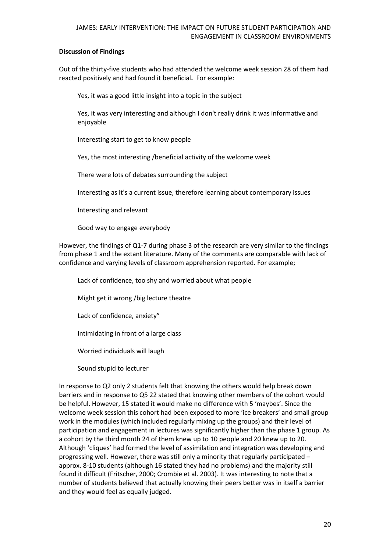## **Discussion of Findings**

Out of the thirty-five students who had attended the welcome week session 28 of them had reacted positively and had found it beneficial**.** For example:

Yes, it was a good little insight into a topic in the subject

Yes, it was very interesting and although I don't really drink it was informative and enjoyable

Interesting start to get to know people

Yes, the most interesting /beneficial activity of the welcome week

There were lots of debates surrounding the subject

Interesting as it's a current issue, therefore learning about contemporary issues

Interesting and relevant

Good way to engage everybody

However, the findings of Q1-7 during phase 3 of the research are very similar to the findings from phase 1 and the extant literature. Many of the comments are comparable with lack of confidence and varying levels of classroom apprehension reported. For example;

Lack of confidence, too shy and worried about what people

Might get it wrong /big lecture theatre

Lack of confidence, anxiety"

Intimidating in front of a large class

Worried individuals will laugh

Sound stupid to lecturer

In response to Q2 only 2 students felt that knowing the others would help break down barriers and in response to Q5 22 stated that knowing other members of the cohort would be helpful. However, 15 stated it would make no difference with 5 'maybes'. Since the welcome week session this cohort had been exposed to more 'ice breakers' and small group work in the modules (which included regularly mixing up the groups) and their level of participation and engagement in lectures was significantly higher than the phase 1 group. As a cohort by the third month 24 of them knew up to 10 people and 20 knew up to 20. Although 'cliques' had formed the level of assimilation and integration was developing and progressing well. However, there was still only a minority that regularly participated – approx. 8-10 students (although 16 stated they had no problems) and the majority still found it difficult (Fritscher, 2000; Crombie et al. 2003). It was interesting to note that a number of students believed that actually knowing their peers better was in itself a barrier and they would feel as equally judged.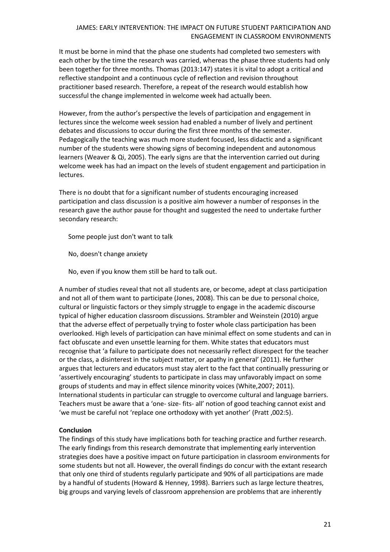It must be borne in mind that the phase one students had completed two semesters with each other by the time the research was carried, whereas the phase three students had only been together for three months. Thomas (2013:147) states it is vital to adopt a critical and reflective standpoint and a continuous cycle of reflection and revision throughout practitioner based research. Therefore, a repeat of the research would establish how successful the change implemented in welcome week had actually been.

However, from the author's perspective the levels of participation and engagement in lectures since the welcome week session had enabled a number of lively and pertinent debates and discussions to occur during the first three months of the semester. Pedagogically the teaching was much more student focused, less didactic and a significant number of the students were showing signs of becoming independent and autonomous learners (Weaver & Qi, 2005). The early signs are that the intervention carried out during welcome week has had an impact on the levels of student engagement and participation in lectures.

There is no doubt that for a significant number of students encouraging increased participation and class discussion is a positive aim however a number of responses in the research gave the author pause for thought and suggested the need to undertake further secondary research:

Some people just don't want to talk

- No, doesn't change anxiety
- No, even if you know them still be hard to talk out.

A number of studies reveal that not all students are, or become, adept at class participation and not all of them want to participate (Jones, 2008). This can be due to personal choice, cultural or linguistic factors or they simply struggle to engage in the academic discourse typical of higher education classroom discussions. Strambler and Weinstein (2010) argue that the adverse effect of perpetually trying to foster whole class participation has been overlooked. High levels of participation can have minimal effect on some students and can in fact obfuscate and even unsettle learning for them. White states that educators must recognise that 'a failure to participate does not necessarily reflect disrespect for the teacher or the class, a disinterest in the subject matter, or apathy in general' (2011). He further argues that lecturers and educators must stay alert to the fact that continually pressuring or 'assertively encouraging' students to participate in class may unfavorably impact on some groups of students and may in effect silence minority voices (White,2007; 2011). International students in particular can struggle to overcome cultural and language barriers. Teachers must be aware that a 'one- size- fits- all' notion of good teaching cannot exist and 'we must be careful not 'replace one orthodoxy with yet another' (Pratt ,002:5).

## **Conclusion**

The findings of this study have implications both for teaching practice and further research. The early findings from this research demonstrate that implementing early intervention strategies does have a positive impact on future participation in classroom environments for some students but not all. However, the overall findings do concur with the extant research that only one third of students regularly participate and 90% of all participations are made by a handful of students (Howard & Henney, 1998). Barriers such as large lecture theatres, big groups and varying levels of classroom apprehension are problems that are inherently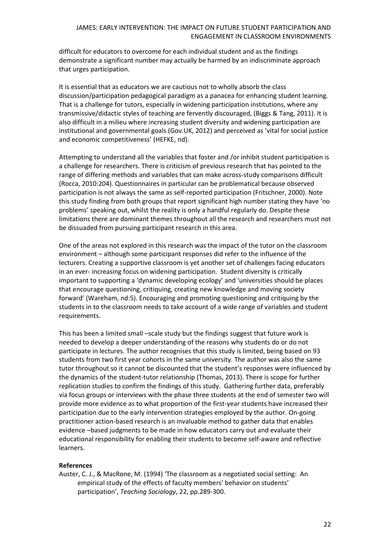difficult for educators to overcome for each individual student and as the findings demonstrate a significant number may actually be harmed by an indiscriminate approach that urges participation.

It is essential that as educators we are cautious not to wholly absorb the class discussion/participation pedagogical paradigm as a panacea for enhancing student learning. That is a challenge for tutors, especially in widening participation institutions, where any transmissive/didactic styles of teaching are fervently discouraged, (Biggs & Tang, 2011). It is also difficult in a milieu where increasing student diversity and widening participation are institutional and governmental goals (Gov.UK, 2012) and perceived as 'vital for social justice and economic competitiveness' (HEFKE, nd).

Attempting to understand all the variables that foster and /or inhibit student participation is a challenge for researchers. There is criticism of previous research that has pointed to the range of differing methods and variables that can make across-study comparisons difficult (Rocca, 2010:204). Questionnaires in particular can be problematical because observed participation is not always the same as self-reported participation (Fritschner, 2000). Note this study finding from both groups that report significant high number stating they have 'no problems' speaking out, whilst the reality is only a handful regularly do. Despite these limitations there are dominant themes throughout all the research and researchers must not be dissuaded from pursuing participant research in this area.

One of the areas not explored in this research was the impact of the tutor on the classroom environment – although some participant responses did refer to the influence of the lecturers. Creating a supportive classroom is yet another set of challenges facing educators in an ever- increasing focus on widening participation. Student diversity is critically important to supporting a 'dynamic developing ecology' and 'universities should be places that encourage questioning, critiquing, creating new knowledge and moving society forward' (Wareham, nd:5). Encouraging and promoting questioning and critiquing by the students in to the classroom needs to take account of a wide range of variables and student requirements.

This has been a limited small –scale study but the findings suggest that future work is needed to develop a deeper understanding of the reasons why students do or do not participate in lectures. The author recognises that this study is limited, being based on 93 students from two first year cohorts in the same university. The author was also the same tutor throughout so it cannot be discounted that the student's responses were influenced by the dynamics of the student-tutor relationship (Thomas, 2013). There is scope for further replication studies to confirm the findings of this study. Gathering further data, preferably via focus groups or interviews with the phase three students at the end of semester two will provide more evidence as to what proportion of the first-year students have increased their participation due to the early intervention strategies employed by the author. On-going practitioner action-based research is an invaluable method to gather data that enables evidence –based judgments to be made in how educators carry out and evaluate their educational responsibility for enabling their students to become self-aware and reflective learners.

## **References**

Auster, C. J., & MacRone, M. (1994) 'The classroom as a negotiated social setting: An empirical study of the effects of faculty members' behavior on students' participation', *Teaching Sociology*, 22, pp.289-300.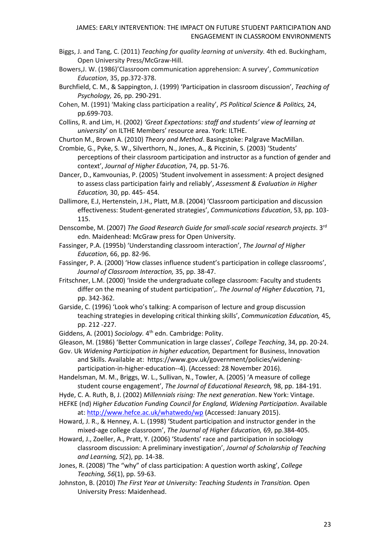- Biggs, J. and Tang, C. (2011) *Teaching for quality learning at university.* 4th ed. Buckingham, Open University Press/McGraw-Hill.
- Bowers,J. W. (1986)'Classroom communication apprehension: A survey', *Communication Education*, 35, pp.372-378.
- Burchfield, C. M., & Sappington, J. (1999) 'Participation in classroom discussion', *Teaching of Psychology,* 26, pp. 290-291.
- Cohen, M. (1991) 'Making class participation a reality', *PS Political Science & Politics,* 24, pp.699-703.

Collins, R. and Lim, H. (2002) *'Great Expectations: staff and students' view of learning at university*' on ILTHE Members' resource area. York: ILTHE.

Churton M., Brown A. (2010) *Theory and Method*. Basingstoke: Palgrave MacMillan.

- Crombie, G., Pyke, S. W., Silverthorn, N., Jones, A., & Piccinin, S. (2003) 'Students' perceptions of their classroom participation and instructor as a function of gender and context', *Journal of Higher Education*, 74, pp. 51-76.
- Dancer, D., Kamvounias, P. (2005) 'Student involvement in assessment: A project designed to assess class participation fairly and reliably', *Assessment & Evaluation in Higher Education,* 30, pp. 445- 454.

Dallimore, E.J, Hertenstein, J.H., Platt, M.B. (2004) 'Classroom participation and discussion effectiveness: Student-generated strategies', *Communications Education*, 53, pp. 103- 115.

Denscombe, M. (2007) *The Good Research Guide for small-scale social research projects*. 3 rd edn. Maidenhead: McGraw press for Open University.

- Fassinger, P.A. (1995b) 'Understanding classroom interaction', *The Journal of Higher Education*, 66, pp. 82-96.
- Fassinger, P. A. (2000) 'How classes influence student's participation in college classrooms', *Journal of Classroom Interaction,* 35, pp. 38-47.
- Fritschner, L.M. (2000) 'Inside the undergraduate college classroom: Faculty and students differ on the meaning of student participation',. *The Journal of Higher Education,* 71, pp. 342-362.
- Garside, C. (1996) 'Look who's talking: A comparison of lecture and group discussion teaching strategies in developing critical thinking skills', *Communication Education,* 45, pp. 212 -227.

Giddens, A. (2001) *Sociology.* 4<sup>th</sup> edn. Cambridge: Polity.

Gleason, M. (1986) 'Better Communication in large classes', *College Teaching*, 34, pp. 20-24.

- Gov. Uk *Widening Participation in higher education,* Department for Business, Innovation and Skills. Available at: https://www.gov.uk/government/policies/wideningparticipation-in-higher-education--4). (Accessed: 28 November 2016).
- Handelsman, M. M., Briggs, W. L., Sullivan, N., Towler, A. (2005) 'A measure of college student course engagement', *The Journal of Educational Research,* 98, pp. 184-191.
- Hyde, C. A. Ruth, B, J. (2002) *Millennials rising: The next generation*. New York: Vintage.
- HEFKE (nd) *Higher Education Funding Council for England, Widening Participation*. Available at: <http://www.hefce.ac.uk/whatwedo/wp> (Accessed: January 2015).
- Howard, J. R., & Henney, A. L. (1998) 'Student participation and instructor gender in the mixed-age college classroom', *The Journal of Higher Education,* 69, pp.384-405.
- Howard, J., Zoeller, A., Pratt, Y. (2006) 'Students' race and participation in sociology classroom discussion: A preliminary investigation', *Journal of Scholarship of Teaching and Learning, 5*(2), pp. 14-38.

Jones, R. (2008) 'The "why" of class participation: A question worth asking', *College Teaching, 56*(1), pp. 59-63.

Johnston, B. (2010) *The First Year at University: Teaching Students in Transition.* Open University Press: Maidenhead.